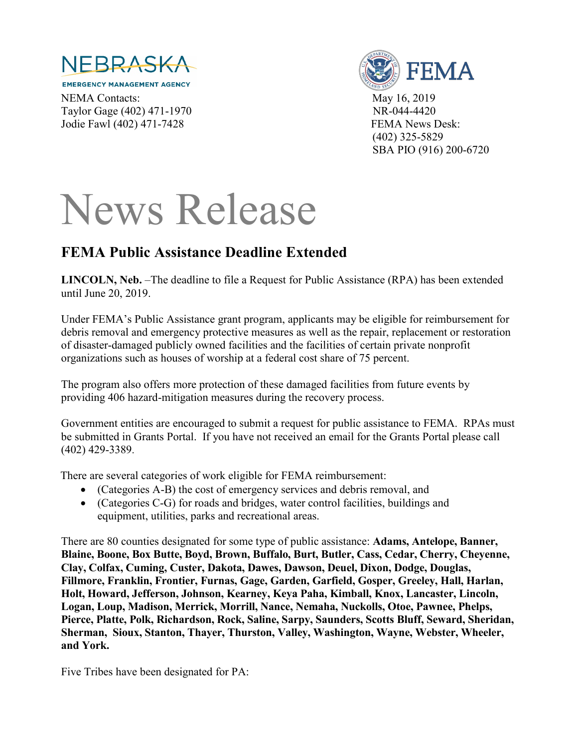

**EMERGENCY MANAGEMENT AGENCY** NEMA Contacts: May 16, 2019 Taylor Gage (402) 471-1970 NR-044-4420 Jodie Fawl (402) 471-7428 FEMA News Desk:



 (402) 325-5829 SBA PIO (916) 200-6720

## News Release

## **FEMA Public Assistance Deadline Extended**

LINCOLN, Neb. –The deadline to file a Request for Public Assistance (RPA) has been extended until June 20, 2019.

Under FEMA's Public Assistance grant program, applicants may be eligible for reimbursement for debris removal and emergency protective measures as well as the repair, replacement or restoration of disaster-damaged publicly owned facilities and the facilities of certain private nonprofit organizations such as houses of worship at a federal cost share of 75 percent.

The program also offers more protection of these damaged facilities from future events by providing 406 hazard-mitigation measures during the recovery process.

Government entities are encouraged to submit a request for public assistance to FEMA. RPAs must be submitted in Grants Portal. If you have not received an email for the Grants Portal please call (402) 429-3389.

There are several categories of work eligible for FEMA reimbursement:

- (Categories A-B) the cost of emergency services and debris removal, and
- (Categories C-G) for roads and bridges, water control facilities, buildings and equipment, utilities, parks and recreational areas.

There are 80 counties designated for some type of public assistance: **Adams, Antelope, Banner, Blaine, Boone, Box Butte, Boyd, Brown, Buffalo, Burt, Butler, Cass, Cedar, Cherry, Cheyenne, Clay, Colfax, Cuming, Custer, Dakota, Dawes, Dawson, Deuel, Dixon, Dodge, Douglas, Fillmore, Franklin, Frontier, Furnas, Gage, Garden, Garfield, Gosper, Greeley, Hall, Harlan, Holt, Howard, Jefferson, Johnson, Kearney, Keya Paha, Kimball, Knox, Lancaster, Lincoln, Logan, Loup, Madison, Merrick, Morrill, Nance, Nemaha, Nuckolls, Otoe, Pawnee, Phelps, Pierce, Platte, Polk, Richardson, Rock, Saline, Sarpy, Saunders, Scotts Bluff, Seward, Sheridan, Sherman, Sioux, Stanton, Thayer, Thurston, Valley, Washington, Wayne, Webster, Wheeler, and York.**

Five Tribes have been designated for PA: